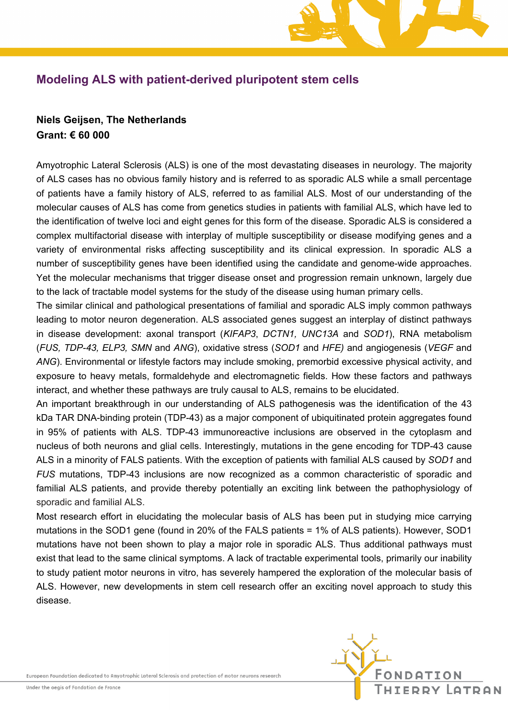## **Modeling ALS with patient-derived pluripotent stem cells**

## **Niels Geijsen, The Netherlands Grant: € 60 000**

Amyotrophic Lateral Sclerosis (ALS) is one of the most devastating diseases in neurology. The majority of ALS cases has no obvious family history and is referred to as sporadic ALS while a small percentage of patients have a family history of ALS, referred to as familial ALS. Most of our understanding of the molecular causes of ALS has come from genetics studies in patients with familial ALS, which have led to the identification of twelve loci and eight genes for this form of the disease. Sporadic ALS is considered a complex multifactorial disease with interplay of multiple susceptibility or disease modifying genes and a variety of environmental risks affecting susceptibility and its clinical expression. In sporadic ALS a number of susceptibility genes have been identified using the candidate and genome-wide approaches. Yet the molecular mechanisms that trigger disease onset and progression remain unknown, largely due to the lack of tractable model systems for the study of the disease using human primary cells.

The similar clinical and pathological presentations of familial and sporadic ALS imply common pathways leading to motor neuron degeneration. ALS associated genes suggest an interplay of distinct pathways in disease development: axonal transport (*KIFAP3*, *DCTN1, UNC13A* and *SOD1*), RNA metabolism (*FUS, TDP-43, ELP3, SMN* and *ANG*), oxidative stress (*SOD1* and *HFE)* and angiogenesis (*VEGF* and *ANG*). Environmental or lifestyle factors may include smoking, premorbid excessive physical activity, and exposure to heavy metals, formaldehyde and electromagnetic fields. How these factors and pathways interact, and whether these pathways are truly causal to ALS, remains to be elucidated.

An important breakthrough in our understanding of ALS pathogenesis was the identification of the 43 kDa TAR DNA-binding protein (TDP-43) as a major component of ubiquitinated protein aggregates found in 95% of patients with ALS. TDP-43 immunoreactive inclusions are observed in the cytoplasm and nucleus of both neurons and glial cells. Interestingly, mutations in the gene encoding for TDP-43 cause ALS in a minority of FALS patients. With the exception of patients with familial ALS caused by *SOD1* and *FUS* mutations, TDP-43 inclusions are now recognized as a common characteristic of sporadic and familial ALS patients, and provide thereby potentially an exciting link between the pathophysiology of sporadic and familial ALS.

Most research effort in elucidating the molecular basis of ALS has been put in studying mice carrying mutations in the SOD1 gene (found in 20% of the FALS patients = 1% of ALS patients). However, SOD1 mutations have not been shown to play a major role in sporadic ALS. Thus additional pathways must exist that lead to the same clinical symptoms. A lack of tractable experimental tools, primarily our inability to study patient motor neurons in vitro, has severely hampered the exploration of the molecular basis of ALS. However, new developments in stem cell research offer an exciting novel approach to study this disease.

European Foundation dedicated to Amyotrophic Lateral Sclerosis and protection of motor neurons research

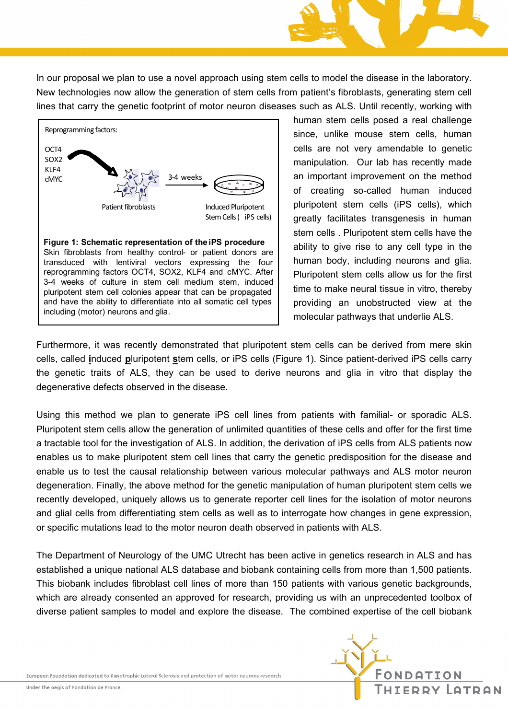In our proposal we plan to use a novel approach using stem cells to model the disease in the laboratory. New technologies now allow the generation of stem cells from patient's fibroblasts, generating stem cell lines that carry the genetic footprint of motor neuron diseases such as ALS. Until recently, working with



human stem cells posed a real challenge since, unlike mouse stem cells, human cells are not very amendable to genetic manipulation. Our lab has recently made an important improvement on the method of creating so-called human induced pluripotent stem cells (iPS cells), which greatly facilitates transgenesis in human stem cells . Pluripotent stem cells have the ability to give rise to any cell type in the human body, including neurons and glia. Pluripotent stem cells allow us for the first time to make neural tissue in vitro, thereby providing an unobstructed view at the molecular pathways that underlie ALS.

ONDATION

FDDY GTDON

Furthermore, it was recently demonstrated that pluripotent stem cells can be derived from mere skin cells, called **i**nduced **p**luripotent **s**tem cells, or iPS cells (Figure 1). Since patient-derived iPS cells carry the genetic traits of ALS, they can be used to derive neurons and glia in vitro that display the degenerative defects observed in the disease.

Using this method we plan to generate iPS cell lines from patients with familial- or sporadic ALS. Pluripotent stem cells allow the generation of unlimited quantities of these cells and offer for the first time a tractable tool for the investigation of ALS. In addition, the derivation of iPS cells from ALS patients now enables us to make pluripotent stem cell lines that carry the genetic predisposition for the disease and enable us to test the causal relationship between various molecular pathways and ALS motor neuron degeneration. Finally, the above method for the genetic manipulation of human pluripotent stem cells we recently developed, uniquely allows us to generate reporter cell lines for the isolation of motor neurons and glial cells from differentiating stem cells as well as to interrogate how changes in gene expression, or specific mutations lead to the motor neuron death observed in patients with ALS.

The Department of Neurology of the UMC Utrecht has been active in genetics research in ALS and has established a unique national ALS database and biobank containing cells from more than 1,500 patients. This biobank includes fibroblast cell lines of more than 150 patients with various genetic backgrounds, which are already consented an approved for research, providing us with an unprecedented toolbox of diverse patient samples to model and explore the disease. The combined expertise of the cell biobank

European Foundation dedicated to Amyotrophic Lateral Sclerosis and protection of motor neurons research

Under the aegis of Fondation de France